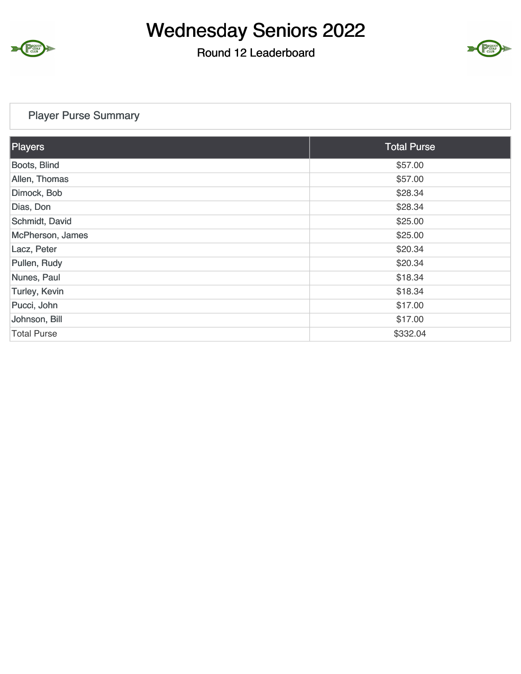

### Round 12 Leaderboard



### Player Purse Summary

| Players            | <b>Total Purse</b> |
|--------------------|--------------------|
| Boots, Blind       | \$57.00            |
| Allen, Thomas      | \$57.00            |
| Dimock, Bob        | \$28.34            |
| Dias, Don          | \$28.34            |
| Schmidt, David     | \$25.00            |
| McPherson, James   | \$25.00            |
| Lacz, Peter        | \$20.34            |
| Pullen, Rudy       | \$20.34            |
| Nunes, Paul        | \$18.34            |
| Turley, Kevin      | \$18.34            |
| Pucci, John        | \$17.00            |
| Johnson, Bill      | \$17.00            |
| <b>Total Purse</b> | \$332.04           |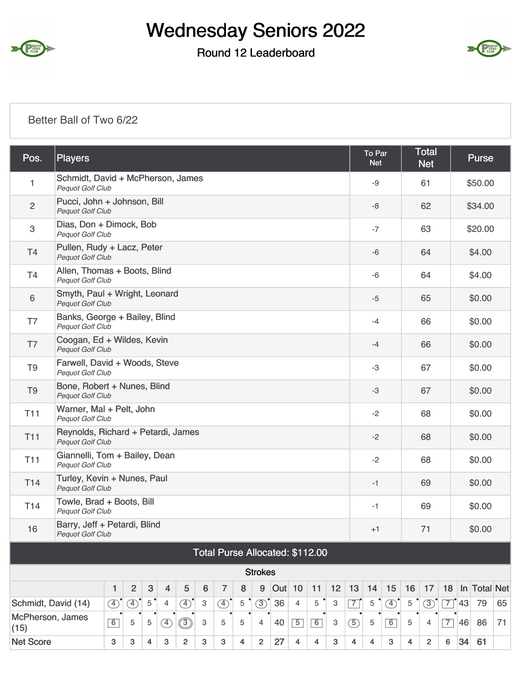

### Round 12 Leaderboard



#### Better Ball of Two 6/22

| Pos.                     | <b>Players</b>                                                |                                                             |                |   |   |               |   |                |   |                |               |                |                                 |    |                | To Par<br><b>Net</b> |               |    | <b>Total</b><br><b>Net</b> |                |    | <b>Purse</b> |    |
|--------------------------|---------------------------------------------------------------|-------------------------------------------------------------|----------------|---|---|---------------|---|----------------|---|----------------|---------------|----------------|---------------------------------|----|----------------|----------------------|---------------|----|----------------------------|----------------|----|--------------|----|
| 1                        | Schmidt, David + McPherson, James<br>Pequot Golf Club         |                                                             |                |   |   |               |   |                |   |                |               |                |                                 |    |                | -9                   |               |    | 61                         |                |    | \$50.00      |    |
| $\overline{c}$           | Pucci, John + Johnson, Bill<br>Pequot Golf Club               |                                                             |                |   |   |               |   |                |   |                |               |                |                                 |    |                | -8                   |               |    | 62                         |                |    | \$34.00      |    |
| 3                        | Dias, Don + Dimock, Bob<br>Pequot Golf Club                   |                                                             |                |   |   |               |   |                |   |                |               |                |                                 |    |                | $-7$                 |               |    | 63                         |                |    | \$20.00      |    |
| T <sub>4</sub>           | Pullen, Rudy + Lacz, Peter<br><b>Pequot Golf Club</b>         |                                                             |                |   |   |               |   |                |   |                |               |                |                                 |    |                | $-6$                 |               |    | 64                         |                |    | \$4.00       |    |
| <b>T4</b>                | Allen, Thomas + Boots, Blind<br>Pequot Golf Club              |                                                             |                |   |   |               |   |                |   |                |               |                |                                 |    |                | $-6$                 |               |    | 64                         |                |    | \$4.00       |    |
| 6                        | Smyth, Paul + Wright, Leonard<br>Pequot Golf Club             |                                                             |                |   |   |               |   |                |   |                |               |                |                                 |    |                | $-5$                 |               |    | 65                         |                |    | \$0.00       |    |
| T7                       | <b>Pequot Golf Club</b>                                       | Banks, George + Bailey, Blind                               |                |   |   |               |   |                |   |                |               |                |                                 |    |                |                      |               |    | 66                         |                |    | \$0.00       |    |
| T7                       | <b>Pequot Golf Club</b>                                       |                                                             |                |   |   |               |   |                |   |                |               |                |                                 |    |                |                      |               |    | 66                         |                |    | \$0.00       |    |
| T <sub>9</sub>           | Pequot Golf Club                                              | Coogan, Ed + Wildes, Kevin<br>Farwell, David + Woods, Steve |                |   |   |               |   |                |   |                |               |                |                                 |    |                |                      |               |    | 67                         |                |    | \$0.00       |    |
| T <sub>9</sub>           | Bone, Robert + Nunes, Blind<br><b>Pequot Golf Club</b>        |                                                             |                |   |   |               |   |                |   |                |               |                |                                 |    |                | $-3$                 |               |    | 67                         |                |    | \$0.00       |    |
| <b>T11</b>               | Warner, Mal + Pelt, John<br>Pequot Golf Club                  |                                                             |                |   |   |               |   |                |   |                |               |                |                                 |    |                | $-2$                 |               |    | 68                         |                |    | \$0.00       |    |
| <b>T11</b>               | Reynolds, Richard + Petardi, James<br><b>Pequot Golf Club</b> |                                                             |                |   |   |               |   |                |   |                |               |                |                                 |    |                | $-2$                 |               |    | 68                         |                |    | \$0.00       |    |
| <b>T11</b>               | Giannelli, Tom + Bailey, Dean<br>Pequot Golf Club             |                                                             |                |   |   |               |   |                |   |                |               |                |                                 |    |                | $-2$                 |               |    | 68                         |                |    | \$0.00       |    |
| T <sub>14</sub>          | Turley, Kevin + Nunes, Paul<br><b>Pequot Golf Club</b>        |                                                             |                |   |   |               |   |                |   |                |               |                |                                 |    |                | $-1$                 |               |    | 69                         |                |    | \$0.00       |    |
| T <sub>14</sub>          | Towle, Brad + Boots, Bill<br>Pequot Golf Club                 |                                                             |                |   |   |               |   |                |   |                |               |                |                                 |    |                | $-1$                 |               |    | 69                         |                |    | \$0.00       |    |
| 16                       | Barry, Jeff + Petardi, Blind<br><b>Pequot Golf Club</b>       |                                                             |                |   |   |               |   |                |   |                |               |                |                                 |    |                | $+1$                 |               |    | 71                         |                |    | \$0.00       |    |
|                          |                                                               |                                                             |                |   |   |               |   |                |   |                |               |                | Total Purse Allocated: \$112.00 |    |                |                      |               |    |                            |                |    |              |    |
|                          |                                                               |                                                             |                |   |   |               |   |                |   | <b>Strokes</b> |               |                |                                 |    |                |                      |               |    |                            |                |    |              |    |
|                          |                                                               | 1                                                           | $\overline{2}$ | 3 | 4 | 5             | 6 | $\overline{7}$ | 8 | 9              | <b>Out</b> 10 |                | 11                              | 12 | 13             | 14                   | 15            | 16 | 17                         | 18             |    | In Total Net |    |
| Schmidt, David (14)      |                                                               | $\circled{4}$                                               | ④              | 5 | 4 | $\circled{4}$ | 3 | $\circled{4}$  | 5 | (3)            | 36            | $\overline{4}$ | 5                               | 3  | $\overline{7}$ | 5                    | $\circled{4}$ | 5  | $\circled{3}$              | $\overline{7}$ | 43 | 79           | 65 |
| McPherson, James<br>(15) |                                                               | 6                                                           | 5              | 5 | ④ | ③             | 3 | 5              | 5 | $\overline{4}$ | 40            | $\overline{5}$ | 6                               | 3  | $\circled{5}$  | 5                    | $\boxed{6}$   | 5  | 4                          | $\overline{7}$ | 46 | 86           | 71 |

Net Score  $3 \mid 3 \mid 4 \mid 3 \mid 2 \mid 3 \mid 4 \mid 2 \mid 27 \mid 4 \mid 4 \mid 3 \mid 4 \mid 4 \mid 3 \mid 4 \mid 2 \mid 6 \mid 34 \mid 61$ 

 $3$   $3$   $4$   $3$   $2$   $3$   $3$   $4$   $2$   $27$   $4$   $4$   $3$   $4$   $4$   $3$   $4$   $2$   $6$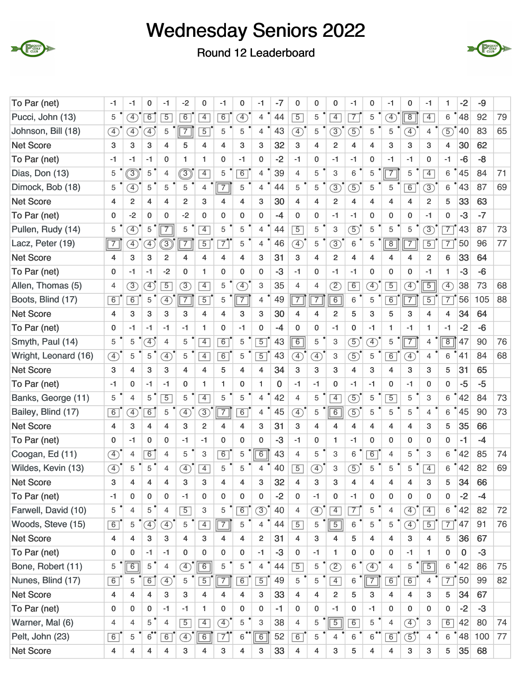

Round 12 Leaderboard



| To Par (net)         | -1                           | -1                           | 0                            | -1                           | $-2$           | 0              | -1             | 0                            | -1                      | $-7$     | 0                            | 0                            | 0              | -1             | 0                       | $-1$                         | 0                         | -1             | 1              | $-2$ | -9   |    |
|----------------------|------------------------------|------------------------------|------------------------------|------------------------------|----------------|----------------|----------------|------------------------------|-------------------------|----------|------------------------------|------------------------------|----------------|----------------|-------------------------|------------------------------|---------------------------|----------------|----------------|------|------|----|
| Pucci, John (13)     | 5                            | $\circledA$                  | $\overline{6}$               | $\overline{5}$               | $\overline{6}$ | $\overline{4}$ | $\overline{6}$ | $\left( \overline{4}\right)$ | $\overline{4}$          | 44       | $\overline{5}$               | 5                            | $\overline{4}$ | $\overline{7}$ | 5                       | $\left( \overline{4}\right)$ | $\boxed{8}$               | $\overline{4}$ | 6              | 48   | 92   | 79 |
| Johnson, Bill (18)   | 4                            | A)                           | $\left( \overline{4}\right)$ | 5                            | $\overline{7}$ | $\overline{5}$ | 5              | 5                            | 4                       | 43       | $\mathcal{F}$                | 5                            | $\circled{3}$  | 5              | 5                       | 5                            | A)                        | $\overline{4}$ | $\overline{5}$ | 40   | 83   | 65 |
| <b>Net Score</b>     | 3                            | 3                            | 3                            | 4                            | 5              | 4              | 4              | 3                            | 3                       | 32       | 3                            | 4                            | $\overline{2}$ | 4              | 4                       | 3                            | 3                         | 3              | 4              | 30   | 62   |    |
| To Par (net)         | -1                           | $-1$                         | $-1$                         | $\mathbf 0$                  | 1              | 1              | 0              | -1                           | $\mathbf 0$             | $-2$     | $-1$                         | $\mathbf 0$                  | $-1$           | $-1$           | 0                       | $-1$                         | $-1$                      | 0              | $-1$           | $-6$ | -8   |    |
| Dias, Don (13)       | 5                            | ම                            | 5                            | $\overline{4}$               | ③              | $\overline{4}$ | 5              | 6                            | 4                       | 39       | 4                            | 5                            | 3              | 6              | 5                       | $\overline{7}$               | 5                         | $\overline{4}$ | 6              | 45   | 84   | 71 |
| Dimock, Bob (18)     | 5                            | F)                           | 5                            | 5                            | 5              | $\overline{4}$ | $\overline{7}$ | 5                            | $\overline{4}$          | 44       | 5                            | 5                            | $\circled{3}$  | $\circled{5}$  | 5                       | 5                            | $\overline{6}$            | $\circled{3}$  | 6              | 43   | 87   | 69 |
| <b>Net Score</b>     | 4                            | 2                            | 4                            | 4                            | $\overline{2}$ | 3              | $\overline{4}$ | 4                            | 3                       | 30       | 4                            | 4                            | 2              | 4              | $\overline{\mathbf{4}}$ | 4                            | 4                         | $\overline{2}$ | 5              | 33   | 63   |    |
| To Par (net)         | 0                            | $-2$                         | 0                            | 0                            | $-2$           | $\Omega$       | $\mathbf 0$    | 0                            | $\mathbf 0$             | $-4$     | 0                            | 0                            | $-1$           | $-1$           | 0                       | $\mathbf 0$                  | 0                         | $-1$           | 0              | $-3$ | $-7$ |    |
| Pullen, Rudy (14)    | 5                            | $\bigoplus$                  | 5                            | $\overline{7}$               | 5              | $\overline{4}$ | 5              | 5                            | $\overline{4}$          | 44       | $\overline{5}$               | 5                            | 3              | $\mathcal{F}$  | 5                       | 5                            | 5                         | $\overline{3}$ | $\overline{7}$ | 43   | 87   | 73 |
| Lacz, Peter (19)     | $\sqrt{7}$                   | $\circledA$                  | $\left(4\right)$             | $\bigcirc$                   | $\overline{7}$ | $\overline{5}$ | $\overline{7}$ | 5                            | 4                       | 46       | $\overline{4}$               | 5                            | $\circled{3}$  | 6              | 5                       | $\overline{8}$               | $\overline{7}$            | $\overline{5}$ | $\overline{7}$ | 50   | 96   | 77 |
| <b>Net Score</b>     | 4                            | 3                            | 3                            | $\overline{c}$               | 4              | 4              | $\overline{4}$ | 4                            | 3                       | 31       | 3                            | 4                            | 2              | 4              | 4                       | 4                            | $\overline{4}$            | $\overline{2}$ | 6              | 33   | 64   |    |
| To Par (net)         | 0                            | $-1$                         | $-1$                         | $-2$                         | 0              | $\mathbf{1}$   | 0              | $\mathbf 0$                  | $\mathbf 0$             | $-3$     | $-1$                         | $\mathbf 0$                  | $-1$           | $-1$           | 0                       | 0                            | $\mathbf 0$               | $-1$           | 1              | $-3$ | $-6$ |    |
| Allen, Thomas (5)    | 4                            | $\circled{3}$                | $\left( \overline{4}\right)$ | $\overline{5}$               | $\circled{3}$  | $\overline{4}$ | 5              | $\left( \overline{4}\right)$ | 3                       | 35       | 4                            | $\overline{4}$               | $\circled{2}$  | $\overline{6}$ | $\circled{4}$           | $\overline{5}$               | $\circled{4}$             | $\overline{5}$ | F)             | 38   | 73   | 68 |
| Boots, Blind (17)    | 6                            | 6                            | 5                            | $\circledast$                | $\overline{7}$ | $\overline{5}$ | 5              | $\overline{7}$               | 4                       | 49       | $\overline{7}$               | $\overline{7}$               | 6              | 6              | 5                       | $\overline{6}$               | $\overline{7}$            | $\overline{5}$ | $\overline{7}$ | 56   | 105  | 88 |
| <b>Net Score</b>     | 4                            | 3                            | 3                            | 3                            | 3              | 4              | 4              | 3                            | 3                       | 30       | 4                            | 4                            | $\overline{2}$ | 5              | 3                       | 5                            | 3                         | 4              | $\overline{4}$ | 34   | 64   |    |
| To Par (net)         | 0                            | $-1$                         | $-1$                         | $-1$                         | $-1$           | 1              | 0              | $-1$                         | $\mathbf 0$             | $-4$     | 0                            | 0                            | $-1$           | 0              | $-1$                    | 1                            | $-1$                      | 1              | $-1$           | $-2$ | $-6$ |    |
| Smyth, Paul (14)     | 5                            | 5                            | $\left( \overline{4}\right)$ | 4                            | 5              | $\overline{4}$ | 6              | 5                            | $\overline{5}$          | 43       | $\overline{6}$               | 5                            | 3              | $\overline{5}$ | $\circled{4}$           | 5                            | $\overline{7}$            | $\overline{4}$ | $\overline{8}$ | 47   | 90   | 76 |
| Wright, Leonard (16) | $\circled{4}$                | 5                            | 5                            | $\left( \overline{4}\right)$ | 5              | $\overline{4}$ | $\overline{6}$ | 5                            | $\overline{5}$          | 43       | $\left( \overline{4}\right)$ | Ð                            | 3              | $\circledS$    | 5                       | $\overline{6}$               | A)                        | $\overline{4}$ | 6              | 41   | 84   | 68 |
| <b>Net Score</b>     | 3                            | 4                            | 3                            | 3                            | 4              | 4              | 5              | 4                            | $\overline{\mathbf{4}}$ | 34       | 3                            | 3                            | 3              | 4              | 3                       | 4                            | 3                         | 3              | 5              | 31   | 65   |    |
| To Par (net)         | -1                           | 0                            | $-1$                         | $-1$                         | 0              | 1              | 1.             | $\mathbf 0$                  | 1                       | $\bf{0}$ | $-1$                         | $-1$                         | 0              | $-1$           | $-1$                    | 0                            | $-1$                      | $\mathbf 0$    | 0              | $-5$ | $-5$ |    |
| Banks, George (11)   | 5                            | $\overline{4}$               | 5                            | $\overline{5}$               | 5              | $\overline{4}$ | 5              | 5                            | $\overline{4}$          | 42       | 4                            | 5                            | $\overline{4}$ | $\circled5$    | 5                       | $\overline{5}$               | 5                         | 3              | 6              | 42   | 84   | 73 |
| Bailey, Blind (17)   | $\overline{6}$               | $\left( \overline{4}\right)$ | $\overline{6}$               | 5                            | $\bigoplus$    | 3              | $\overline{7}$ | $\overline{6}$               | 4                       | 45       | $\left( \overline{4}\right)$ | 5                            | $\overline{6}$ | $\circled{5}$  | 5                       | 5                            | 5                         | $\overline{4}$ | 6              | 45   | 90   | 73 |
| <b>Net Score</b>     | 4                            | 3                            | $\overline{\mathbf{4}}$      | 4                            | 3              | $\overline{2}$ | 4              | 4                            | 3                       | 31       | 3                            | 4                            | 4              | 4              | 4                       | 4                            | 4                         | 3              | 5              | 35   | 66   |    |
| To Par (net)         | 0                            | $-1$                         | 0                            | $\mathbf 0$                  | $-1$           | $-1$           | 0              | 0                            | $\mathbf 0$             | $-3$     | $-1$                         | 0                            | 1              | -1             | 0                       | 0                            | 0                         | $\mathbf 0$    | 0              | $-1$ | $-4$ |    |
| Coogan, Ed (11)      | ④                            | 4                            | $\overline{6}$               | $\overline{4}$               | 5              | 3              | $\overline{6}$ | 5                            | $\overline{6}$          | 43       | 4                            | 5                            | 3              | 6              | $\overline{6}$          | 4                            | 5                         | 3              | 6              | 42   | 85   | 74 |
| Wildes, Kevin (13)   | $\left( \overline{4}\right)$ | 5                            | 5                            | 4                            | $\boxed{4}$    | $\overline{4}$ | 5              | 5                            | 4                       | 40       | $\overline{5}$               | $\left( \overline{4}\right)$ | 3              | $\overline{5}$ | 5                       | 5                            | 5                         | $\overline{4}$ | 6              | 42   | 82   | 69 |
| <b>Net Score</b>     | 3                            | 4                            | 4                            | 4                            | 3              | 3              | 4              | 4                            | 3                       | 32       | 4                            | 3                            | 3              | 4              | 4                       | 4                            | 4                         | 3              | 5              | 34   | 66   |    |
| To Par (net)         | $-1$                         | 0                            | 0                            | $\mathbf{0}$                 | $-1$           | 0              | 0              | 0                            | 0                       | $-2$     | $\mathbf{0}$                 | $-1$                         | 0              | $-1$           | 0                       | 0                            | 0                         | 0              | 0              | $-2$ | $-4$ |    |
| Farwell, David (10)  | 5                            | $\overline{4}$               | 5                            | $\overline{4}$               | $\overline{5}$ | 3              | 5              | 6                            | $\circled{3}$           | 40       | 4                            | $\circled{4}$                | $\overline{4}$ | $\overline{7}$ | 5                       | 4                            | $\circled{4}$             | $\overline{4}$ | 6              | 42   | 82   | 72 |
| Woods, Steve (15)    | $\boxed{6}$                  | 5                            | $\bigoplus$                  | $\circled{4}$                | 5              | $\overline{4}$ | $\overline{7}$ | 5                            | $\overline{4}$          | 44       | $\overline{5}$               | 5                            | $\boxed{5}$    | 6              | 5                       | 5                            | $\circled{4}$             | $\overline{5}$ | $\overline{7}$ | 47   | 91   | 76 |
| <b>Net Score</b>     | 4                            | 4                            | 3                            | 3                            | $\overline{4}$ | 3              | $\overline{4}$ | $\overline{4}$               | $\overline{2}$          | 31       | 4                            | 3                            | $\overline{4}$ | 5              | 4                       | 4                            | 3                         | 4              | 5              | 36   | 67   |    |
| To Par (net)         | 0                            | 0                            | $-1$                         | $-1$                         | 0              | 0              | 0              | 0                            | $-1$                    | $-3$     | 0                            | $-1$                         | 1              | 0              | 0                       | 0                            | $-1$                      | 1              | $\mathbf 0$    | 0    | $-3$ |    |
| Bone, Robert (11)    | 5                            | $\overline{6}$               | 5                            | $\overline{4}$               | $\bigoplus$    | 6              | 5              | 5                            | 4                       | 44       | $\overline{5}$               | 5                            | $\circled{2}$  | 6              | $\circled{4}$           | $\overline{4}$               | 5                         | $\overline{5}$ | 6              | 42   | 86   | 75 |
| Nunes, Blind (17)    | $\boxed{6}$                  | 5                            | $\overline{6}$               | $\circledA$                  | 5              | $\overline{5}$ | $\overline{7}$ | 6                            | $\overline{5}$          | 49       | 5                            | 5                            | $\overline{4}$ | 6              | $\overline{7}$          | 6                            | 6                         | 4              | $\overline{7}$ | 50   | 99   | 82 |
| <b>Net Score</b>     | 4                            | 4                            | $\overline{4}$               | 3                            | 3              | 4              | 4              | $\overline{4}$               | 3                       | 33       | 4                            | 4                            | $\overline{2}$ | 5              | 3                       | 4                            | 4                         | 3              | 5              | 34   | 67   |    |
| To Par (net)         | 0                            | 0                            | $\mathbf 0$                  | $-1$                         | $-1$           | $\mathbf{1}$   | 0              | $\mathbf 0$                  | $\mathbf{0}$            | $-1$     | $\mathbf{0}$                 | $\mathbf 0$                  | $-1$           | 0              | $-1$                    | 0                            | 0                         | $\mathbf 0$    | 0              | $-2$ | $-3$ |    |
| Warner, Mal (6)      | 4                            | $\overline{4}$               | 5                            | $\overline{4}$               | $\overline{5}$ | $\overline{4}$ | $\bigoplus$    | 5                            | 3                       | 38       | $\overline{4}$               | 5                            | $\sqrt{5}$     | 6              | 5                       | $\overline{4}$               | $\circled{4}$             | 3              | 6              | 42   | 80   | 74 |
| Pelt, John (23)      | 6                            | 5                            | $\overline{6}$               | 6                            | $\circled{4}$  | $\overline{6}$ | $\overline{7}$ | $6^{\circ}$                  | $\boxed{6}$             | 52       | 6                            | 5                            | $\overline{4}$ | 6              | $\overline{6}$          | 6                            | $\textcircled{\small{5}}$ | $\overline{4}$ | 6              | 48   | 100  | 77 |
| <b>Net Score</b>     | 4                            | 4                            | 4                            | 4                            | 3              | 4              | 3              | 4                            | 3                       | 33       | 4                            | 4                            | 3              | 5              | 4                       | 4                            | 3                         | 3              | 5              | 35   | 68   |    |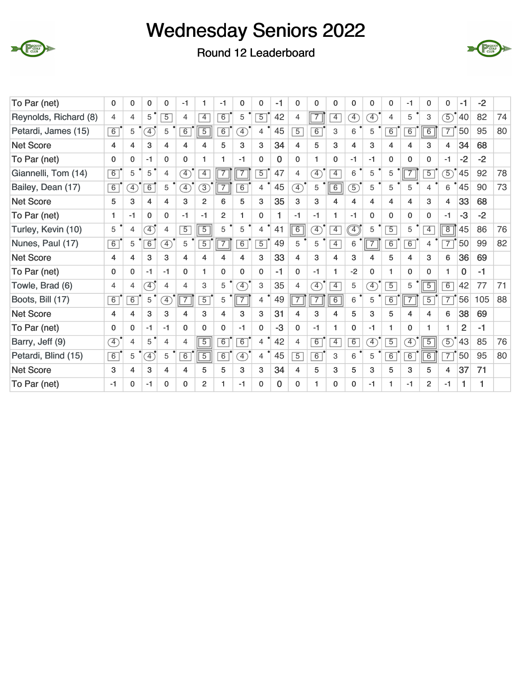





| To Par (net)          | $\mathbf 0$    | 0              | 0                            | 0              | $-1$           | 1              | $-1$           | 0                            | 0              | $-1$     | $\mathbf{0}$                 | 0                            | $\mathbf 0$    | 0                         | 0                            | 0              | $-1$                         | 0              | $\mathbf{0}$   | $-1$           | $-2$ |    |
|-----------------------|----------------|----------------|------------------------------|----------------|----------------|----------------|----------------|------------------------------|----------------|----------|------------------------------|------------------------------|----------------|---------------------------|------------------------------|----------------|------------------------------|----------------|----------------|----------------|------|----|
| Reynolds, Richard (8) | 4              | 4              | 5                            | $\overline{5}$ | $\overline{4}$ | $\overline{4}$ | $\overline{6}$ | 5                            | $\overline{5}$ | 42       | 4                            | $\overline{7}$               | $\overline{4}$ | $\boxed{4}$               | $\mathcal{F}$                | 4              | 5                            | 3              | $\circ$        | 40             | 82   | 74 |
| Petardi, James (15)   | 6              | 5              | $\left( \overline{4}\right)$ | 5              | 6              | $\overline{5}$ | $\overline{6}$ | $\left( \overline{4}\right)$ | 4              | 45       | $\overline{5}$               | $\overline{6}$               | 3              | 6                         | 5                            | $\overline{6}$ | 6                            | $\overline{6}$ | $\overline{7}$ | 50             | 95   | 80 |
| <b>Net Score</b>      | 4              | 4              | 3                            | $\overline{4}$ | 4              | 4              | 5              | 3                            | 3              | 34       | 4                            | 5                            | 3              | 4                         | 3                            | 4              | 4                            | 3              | 4              | 34             | 68   |    |
| To Par (net)          | $\mathbf{0}$   | 0              | $-1$                         | $\mathbf{0}$   | $\mathbf{0}$   | 1.             | 1.             | $-1$                         | $\mathbf 0$    | $\Omega$ | $\mathbf{0}$                 | 1                            | $\Omega$       | $-1$                      | $-1$                         | $\mathbf{0}$   | $\mathbf{0}$                 | $\mathbf{0}$   | $-1$           | $-2$           | $-2$ |    |
| Giannelli, Tom (14)   | 6              | 5              | 5                            | $\overline{4}$ | $\mathcal{F}$  | $\overline{4}$ | $\overline{7}$ | $\overline{7}$               | $\overline{5}$ | 47       | $\overline{4}$               | $\left( \overline{4}\right)$ | $\overline{4}$ | 6                         | 5                            | 5              |                              | $\overline{5}$ | $\mathcal{F}$  | 45             | 92   | 78 |
| Bailey, Dean (17)     | $\overline{6}$ | F)             | $\overline{6}$               | 5              | F)             | 3)             | $\overline{7}$ | $\overline{6}$               | 4              | 45       | $\left( \overline{4}\right)$ | 5                            | $\sqrt{6}$     | $\mathcal{F}$             | 5                            | 5              | 5                            | $\overline{4}$ | 6              | 45             | 90   | 73 |
| <b>Net Score</b>      | 5              | 3              | 4                            | $\overline{4}$ | 3              | $\overline{2}$ | 6              | 5                            | 3              | 35       | 3                            | 3                            | 4              | 4                         | 4                            | 4              | 4                            | 3              | 4              | 33             | 68   |    |
| To Par (net)          | 1              | $-1$           | $\mathbf{0}$                 | $\mathbf{0}$   | $-1$           | $-1$           | $\overline{2}$ | 1                            | $\mathbf{0}$   | 1        | $-1$                         | $-1$                         | 1              | $-1$                      | $\mathbf{0}$                 | $\Omega$       | $\mathbf{0}$                 | $\mathbf{0}$   | $-1$           | $-3$           | $-2$ |    |
| Turley, Kevin (10)    | 5              | 4              | $\overline{4}$               | 4              | $\overline{5}$ | $\overline{5}$ | 5              | 5                            | 4              | 41       | $\overline{6}$               | $\left( \overline{4}\right)$ | $\overline{4}$ | $\widehat{(\mathcal{A})}$ | 5                            | $\overline{5}$ | 5                            | $\overline{4}$ | $\overline{8}$ | 45             | 86   | 76 |
| Nunes, Paul (17)      | 6              | 5              | $\overline{6}$               | A)             | 5              | $\overline{5}$ | $\overline{7}$ | $\overline{6}$               | $\overline{5}$ | 49       | 5                            | 5                            | $\overline{4}$ | 6                         | $\overline{7}$               | 6              | $\overline{6}$               | $\overline{4}$ | $\overline{7}$ | 50             | 99   | 82 |
| <b>Net Score</b>      | 4              | 4              | 3                            | 3              | 4              | 4              | 4              | 4                            | 3              | 33       | 4                            | 3                            | 4              | 3                         | 4                            | 5              | 4                            | 3              | 6              | 36             | 69   |    |
| To Par (net)          | $\mathbf{0}$   | 0              | $-1$                         | $-1$           | $\mathbf{0}$   | 1              | 0              | $\Omega$                     | $\Omega$       | $-1$     | $\mathbf{0}$                 | -1                           | 1              | $-2$                      | 0                            | 1              | $\mathbf 0$                  | $\mathbf{0}$   | 1              | 0              | $-1$ |    |
| Towle, Brad (6)       | 4              | 4              | $\overline{4}$               | 4              | 4              | 3              | 5              | $\mathcal{F}$                | 3              | 35       | 4                            | $\left( \overline{4}\right)$ | $\overline{4}$ | 5                         | $\mathcal{F}$                | $\overline{5}$ | 5                            | $\overline{5}$ | $\overline{6}$ | 42             | 77   | 71 |
| Boots, Bill (17)      | 6              | $\overline{6}$ | 5                            | A)             | $\overline{7}$ | $\overline{5}$ | 5              | $\boxed{7}$                  | $\overline{4}$ | 49       | $\overline{7}$               | $\overline{7}$               | $\overline{6}$ | 6                         | 5                            | $\overline{6}$ | $\overline{\mathbf{17}}$     | $\overline{5}$ | $\overline{7}$ | 56             | 105  | 88 |
| <b>Net Score</b>      | 4              | 4              | 3                            | 3              | 4              | 3              | 4              | 3                            | 3              | 31       | 4                            | 3                            | 4              | 5                         | 3                            | 5              | 4                            | $\overline{4}$ | 6              | 38             | 69   |    |
| To Par (net)          | $\Omega$       | 0              | $-1$                         | $-1$           | $\mathbf{0}$   | $\Omega$       | $\mathbf{0}$   | $-1$                         | $\Omega$       | $-3$     | $\Omega$                     | -1                           | 1              | $\Omega$                  | $-1$                         | 1.             | $\mathbf 0$                  | 1              | 1              | $\overline{2}$ | $-1$ |    |
| Barry, Jeff (9)       | Ð              | 4              | 5                            | $\overline{4}$ | 4              | $\overline{5}$ | $\overline{6}$ | $\overline{6}$               | $\overline{4}$ | 42       | 4                            | 6                            | $\overline{4}$ | $\overline{6}$            | $\left( \overline{4}\right)$ | $\overline{5}$ | $\left( \overline{4}\right)$ | $\overline{5}$ | $\boxed{5}$    | 43             | 85   | 76 |
| Petardi, Blind (15)   | $\overline{6}$ | 5              | $\left( \overline{4}\right)$ | 5              | $\overline{6}$ | $\overline{5}$ | $\overline{6}$ | $\left( \overline{4}\right)$ | 4              | 45       | $\overline{5}$               | 6                            | 3              | 6                         | 5                            | $\overline{6}$ | $\overline{6}$               | $\overline{6}$ | $\overline{7}$ | 50             | 95   | 80 |
| <b>Net Score</b>      | 3              | 4              | 3                            | 4              | 4              | 5              | 5              | 3                            | 3              | 34       | 4                            | 5                            | 3              | 5                         | 3                            | 5              | 3                            | 5              | 4              | 37             | 71   |    |
| To Par (net)          | -1             | 0              | $-1$                         | $\Omega$       | $\Omega$       | $\mathfrak{p}$ | 1              | $-1$                         | $\Omega$       | $\Omega$ | 0                            | 1                            | $\Omega$       | $\Omega$                  | $-1$                         | 1              | $-1$                         | $\overline{2}$ | $-1$           | 1              | 1    |    |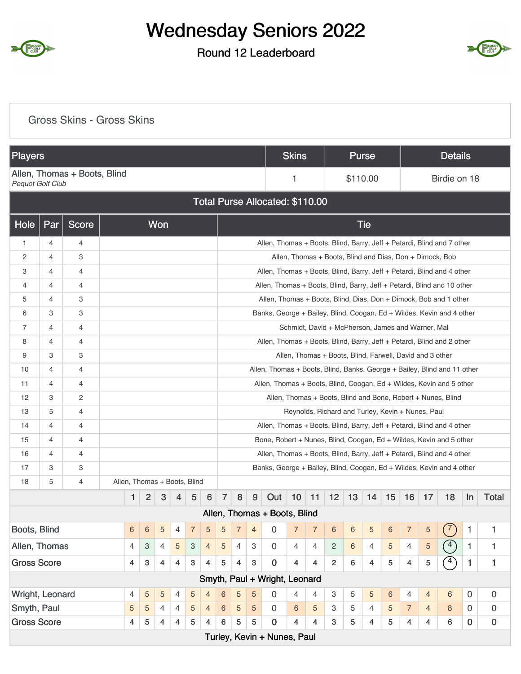

### Round 12 Leaderboard



#### Gross Skins - Gross Skins

| <b>Players</b>     |                                                                                                     |                              |  |                |                           |                              |                |                |                |                |                |                |                                                                          | <b>Skins</b>   |                |                                                          | <b>Purse</b> |                |                |                |                         | <b>Details</b>                                               |              |              |
|--------------------|-----------------------------------------------------------------------------------------------------|------------------------------|--|----------------|---------------------------|------------------------------|----------------|----------------|----------------|----------------|----------------|----------------|--------------------------------------------------------------------------|----------------|----------------|----------------------------------------------------------|--------------|----------------|----------------|----------------|-------------------------|--------------------------------------------------------------|--------------|--------------|
| Pequot Golf Club   |                                                                                                     | Allen, Thomas + Boots, Blind |  |                |                           |                              |                |                |                |                |                |                |                                                                          | 1              |                |                                                          | \$110.00     |                |                |                |                         | Birdie on 18                                                 |              |              |
|                    |                                                                                                     |                              |  |                |                           |                              |                |                |                |                |                |                | Total Purse Allocated: \$110.00                                          |                |                |                                                          |              |                |                |                |                         |                                                              |              |              |
| Hole               | Par                                                                                                 | Score                        |  |                |                           | Won                          |                |                |                |                |                |                |                                                                          |                |                |                                                          |              | <b>Tie</b>     |                |                |                         |                                                              |              |              |
| $\mathbf{1}$       | 4                                                                                                   | 4                            |  |                |                           |                              |                |                |                |                |                |                | Allen, Thomas + Boots, Blind, Barry, Jeff + Petardi, Blind and 7 other   |                |                |                                                          |              |                |                |                |                         |                                                              |              |              |
| 2                  | $\overline{4}$                                                                                      | 3                            |  |                |                           |                              |                |                |                |                |                |                |                                                                          |                |                |                                                          |              |                |                |                |                         | Allen, Thomas + Boots, Blind and Dias, Don + Dimock, Bob     |              |              |
| 3                  | $\overline{4}$                                                                                      | 4                            |  |                |                           |                              |                |                |                |                |                |                | Allen, Thomas + Boots, Blind, Barry, Jeff + Petardi, Blind and 4 other   |                |                |                                                          |              |                |                |                |                         |                                                              |              |              |
| 4                  | $\overline{4}$                                                                                      | 4                            |  |                |                           |                              |                |                |                |                |                |                | Allen, Thomas + Boots, Blind, Barry, Jeff + Petardi, Blind and 10 other  |                |                |                                                          |              |                |                |                |                         |                                                              |              |              |
| 5                  | 4                                                                                                   | 3                            |  |                |                           |                              |                |                |                |                |                |                | Allen, Thomas + Boots, Blind, Dias, Don + Dimock, Bob and 1 other        |                |                |                                                          |              |                |                |                |                         |                                                              |              |              |
| 6                  | 3                                                                                                   | 3                            |  |                |                           |                              |                |                |                |                |                |                | Banks, George + Bailey, Blind, Coogan, Ed + Wildes, Kevin and 4 other    |                |                |                                                          |              |                |                |                |                         |                                                              |              |              |
| 7                  | $\overline{4}$                                                                                      | 4                            |  |                |                           |                              |                |                |                |                |                |                |                                                                          |                |                | Schmidt, David + McPherson, James and Warner, Mal        |              |                |                |                |                         |                                                              |              |              |
| 8                  | $\overline{4}$                                                                                      | 4                            |  |                |                           |                              |                |                |                |                |                |                | Allen, Thomas + Boots, Blind, Barry, Jeff + Petardi, Blind and 2 other   |                |                |                                                          |              |                |                |                |                         |                                                              |              |              |
| 9                  | 3                                                                                                   | 3                            |  |                |                           |                              |                |                |                |                |                |                |                                                                          |                |                | Allen, Thomas + Boots, Blind, Farwell, David and 3 other |              |                |                |                |                         |                                                              |              |              |
| 10                 | $\overline{4}$                                                                                      | 4                            |  |                |                           |                              |                |                |                |                |                |                | Allen, Thomas + Boots, Blind, Banks, George + Bailey, Blind and 11 other |                |                |                                                          |              |                |                |                |                         |                                                              |              |              |
| 11                 | 4                                                                                                   | 4                            |  |                |                           |                              |                |                |                |                |                |                | Allen, Thomas + Boots, Blind, Coogan, Ed + Wildes, Kevin and 5 other     |                |                |                                                          |              |                |                |                |                         |                                                              |              |              |
| 12                 | 3                                                                                                   | 2                            |  |                |                           |                              |                |                |                |                |                |                |                                                                          |                |                |                                                          |              |                |                |                |                         | Allen, Thomas + Boots, Blind and Bone, Robert + Nunes, Blind |              |              |
| 13                 | 5                                                                                                   | 4                            |  |                |                           |                              |                |                |                |                |                |                |                                                                          |                |                | Reynolds, Richard and Turley, Kevin + Nunes, Paul        |              |                |                |                |                         |                                                              |              |              |
| 14                 | $\overline{4}$                                                                                      | 4                            |  |                |                           |                              |                |                |                |                |                |                | Allen, Thomas + Boots, Blind, Barry, Jeff + Petardi, Blind and 4 other   |                |                |                                                          |              |                |                |                |                         |                                                              |              |              |
| 15                 | $\overline{4}$                                                                                      | 4                            |  |                |                           |                              |                |                |                |                |                |                | Bone, Robert + Nunes, Blind, Coogan, Ed + Wildes, Kevin and 5 other      |                |                |                                                          |              |                |                |                |                         |                                                              |              |              |
| 16                 | $\overline{4}$                                                                                      | 4                            |  |                |                           |                              |                |                |                |                |                |                | Allen, Thomas + Boots, Blind, Barry, Jeff + Petardi, Blind and 4 other   |                |                |                                                          |              |                |                |                |                         |                                                              |              |              |
| 17                 | 3                                                                                                   | 3                            |  |                |                           |                              |                |                |                |                |                |                | Banks, George + Bailey, Blind, Coogan, Ed + Wildes, Kevin and 4 other    |                |                |                                                          |              |                |                |                |                         |                                                              |              |              |
| 18                 | 5                                                                                                   | 4                            |  |                |                           | Allen, Thomas + Boots, Blind |                |                |                |                |                |                |                                                                          |                |                |                                                          |              |                |                |                |                         |                                                              |              |              |
|                    |                                                                                                     |                              |  | 1              | $\overline{2}$            | 3                            | 4              | 5              | 6              | $\overline{7}$ | 8              | 9              | Out                                                                      | 10             | $\vert$ 11     | 12                                                       | 13           | 14             | 15             | 16             | 17                      | 18                                                           | $\ln$        | <b>Total</b> |
|                    |                                                                                                     |                              |  |                |                           |                              |                |                |                |                |                |                | Allen, Thomas + Boots, Blind                                             |                |                |                                                          |              |                |                |                |                         |                                                              |              |              |
| Boots, Blind       |                                                                                                     |                              |  | 6              | $6\phantom{1}6$           | 5                            | 4              | $\overline{7}$ | 5              | 5              | $\sqrt{7}$     | $\overline{4}$ | 0                                                                        | $\overline{7}$ | $\overline{7}$ | $\,6\,$                                                  | 6            | 5              | $\,6\,$        | $\overline{7}$ | $\sqrt{5}$              | $\binom{7}{ }$                                               | 1            | 1            |
| Allen, Thomas      |                                                                                                     |                              |  | $\overline{4}$ | 3                         | $\overline{4}$               | 5              | 3              | $\overline{4}$ | $\sqrt{5}$     | $\overline{4}$ | $\mathbf{3}$   | $\mathbf 0$                                                              | $\overline{4}$ | 4              | $\overline{c}$                                           | 6            | $\overline{4}$ | $\overline{5}$ | $\overline{4}$ | $\sqrt{5}$              | (4)                                                          | $\mathbf{1}$ | $\mathbf{1}$ |
| <b>Gross Score</b> |                                                                                                     |                              |  | 4              | $\ensuremath{\mathsf{3}}$ | $\overline{4}$               | $\overline{4}$ | 3              | 4              | $\overline{5}$ | $\overline{4}$ | $\mathbf{3}$   | $\mathbf 0$                                                              | $\overline{4}$ | 4              | $\overline{c}$                                           | 6            | $\overline{4}$ | 5              | $\overline{4}$ | 5                       | $\left(4\right)$                                             | $\mathbf{1}$ | $\mathbf{1}$ |
|                    |                                                                                                     |                              |  |                |                           |                              |                |                |                |                |                |                | Smyth, Paul + Wright, Leonard                                            |                |                |                                                          |              |                |                |                |                         |                                                              |              |              |
| Wright, Leonard    |                                                                                                     |                              |  | 4              | 5                         | $\sqrt{5}$                   | 4              | 5              | $\overline{4}$ | $\,$ 6 $\,$    | 5              | 5              | 0                                                                        | $\overline{4}$ | $\overline{4}$ | 3                                                        | 5            | 5              | $\,6$          | $\overline{4}$ | $\overline{4}$          | $6\,$                                                        | $\mathbf 0$  | 0            |
| Smyth, Paul        |                                                                                                     |                              |  | 5              | $\sqrt{5}$                | 4                            | 4              | 5              | $\overline{4}$ | 6              | 5              | 5              | $\mathbf{0}$                                                             | $\,6\,$        | 5              | 3                                                        | 5            | $\overline{4}$ | 5              | $\overline{7}$ | $\overline{4}$          | 8                                                            | $\mathbf 0$  | 0            |
|                    | <b>Gross Score</b><br>$\overline{\mathbf{4}}$<br>4<br>5<br>$\overline{4}$<br>5<br>$\,6\,$<br>5<br>4 |                              |  |                |                           |                              |                |                |                |                |                |                |                                                                          | 4              | 4              | 3                                                        | 5            | 4              | 5              | $\overline{4}$ | $\overline{\mathbf{4}}$ | 6                                                            | $\pmb{0}$    | $\pmb{0}$    |
|                    |                                                                                                     |                              |  |                |                           |                              |                |                |                |                |                |                | Turley, Kevin + Nunes, Paul                                              |                |                |                                                          |              |                |                |                |                         |                                                              |              |              |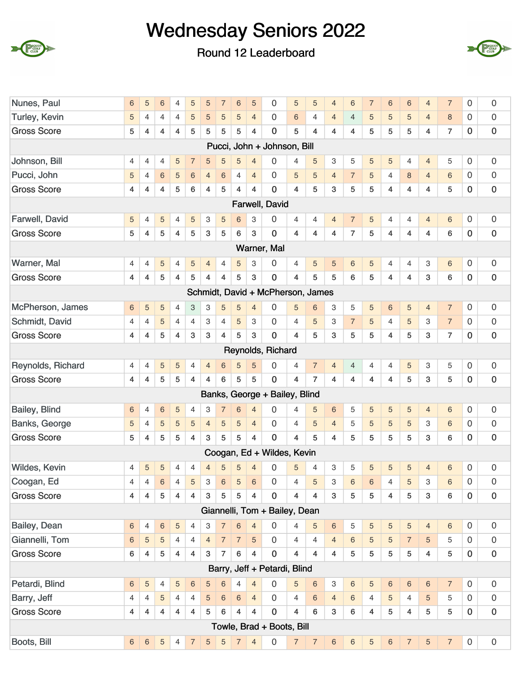





| Nunes, Paul          | 6                       | 5                       | 6              | 4                       | 5                         | 5              | $\overline{7}$          | $6\phantom{1}6$ | 5                       | 0                                 | 5                       | 5                       | $\overline{4}$            | 6              | $\overline{7}$ | $6\phantom{1}6$         | $\,6$          | $\overline{4}$  | $\overline{7}$ | $\mathsf{O}\xspace$ | $\boldsymbol{0}$    |
|----------------------|-------------------------|-------------------------|----------------|-------------------------|---------------------------|----------------|-------------------------|-----------------|-------------------------|-----------------------------------|-------------------------|-------------------------|---------------------------|----------------|----------------|-------------------------|----------------|-----------------|----------------|---------------------|---------------------|
| <b>Turley, Kevin</b> | 5                       | 4                       | 4              | 4                       | 5                         | 5              | 5                       | $\sqrt{5}$      | $\overline{4}$          | 0                                 | 6                       | 4                       | $\overline{4}$            | $\overline{4}$ | 5              | 5                       | 5              | $\overline{4}$  | 8              | 0                   | $\mathbf 0$         |
| <b>Gross Score</b>   | 5                       | 4                       | $\overline{4}$ | 4                       | 5                         | 5              | 5                       | 5               | $\overline{4}$          | $\mathbf 0$                       | 5                       | $\overline{\mathbf{4}}$ | $\overline{4}$            | 4              | 5              | 5                       | 5              | 4               | $\overline{7}$ | $\pmb{0}$           | $\pmb{0}$           |
|                      |                         |                         |                |                         |                           |                |                         |                 |                         | Pucci, John + Johnson, Bill       |                         |                         |                           |                |                |                         |                |                 |                |                     |                     |
| Johnson, Bill        | $\overline{4}$          | 4                       | 4              | 5                       | $\overline{7}$            | 5              | 5                       | 5               | $\overline{4}$          | $\Omega$                          | $\overline{4}$          | 5                       | 3                         | 5              | 5              | 5                       | $\overline{4}$ | $\overline{4}$  | 5              | 0                   | 0                   |
| Pucci, John          | 5                       | $\overline{4}$          | 6              | 5                       | $6\,$                     | $\overline{4}$ | 6                       | 4               | $\overline{4}$          | $\Omega$                          | 5                       | 5                       | $\overline{4}$            | $\overline{7}$ | 5              | 4                       | $\,8\,$        | $\overline{4}$  | 6              | $\mathbf 0$         | 0                   |
| <b>Gross Score</b>   | 4                       | 4                       | 4              | 5                       | $\,6\,$                   | 4              | 5                       | $\overline{4}$  | 4                       | $\overline{0}$                    | $\overline{\mathbf{4}}$ | 5                       | 3                         | 5              | 5              | $\overline{\mathbf{4}}$ | $\overline{4}$ | 4               | 5              | $\mathbf 0$         | $\pmb{0}$           |
|                      |                         |                         |                |                         |                           |                |                         |                 |                         | Farwell, David                    |                         |                         |                           |                |                |                         |                |                 |                |                     |                     |
| Farwell, David       | $\sqrt{5}$              | 4                       | 5              | 4                       | 5                         | 3              | $\sqrt{5}$              | 6               | 3                       | 0                                 | 4                       | $\overline{4}$          | $\overline{4}$            | $\overline{7}$ | $\sqrt{5}$     | 4                       | 4              | $\overline{4}$  | $6\,$          | $\mathbf 0$         | 0                   |
| <b>Gross Score</b>   | 5                       | 4                       | 5              | 4                       | 5                         | 3              | 5                       | 6               | 3                       | $\mathbf 0$                       | $\overline{4}$          | $\overline{\mathbf{4}}$ | 4                         | $\overline{7}$ | 5              | 4                       | $\overline{4}$ | 4               | $\,6$          | $\mathbf 0$         | $\pmb{0}$           |
|                      |                         |                         |                |                         |                           |                |                         |                 |                         | Warner, Mal                       |                         |                         |                           |                |                |                         |                |                 |                |                     |                     |
| Warner, Mal          | 4                       | 4                       | 5              | 4                       | 5                         | $\overline{4}$ | 4                       | 5               | 3                       | $\Omega$                          | $\overline{4}$          | 5                       | 5                         | 6              | 5              | 4                       | 4              | 3               | $\,6$          | $\mathbf 0$         | $\boldsymbol{0}$    |
| <b>Gross Score</b>   | 4                       | $\overline{4}$          | 5              | 4                       | 5                         | 4              | 4                       | 5               | 3                       | 0                                 | 4                       | 5                       | 5                         | 6              | 5              | 4                       | $\overline{4}$ | $\mathbf{3}$    | 6              | $\mathbf 0$         | $\pmb{0}$           |
|                      |                         |                         |                |                         |                           |                |                         |                 |                         | Schmidt, David + McPherson, James |                         |                         |                           |                |                |                         |                |                 |                |                     |                     |
| McPherson, James     | 6                       | 5                       | 5              | 4                       | $\ensuremath{\mathsf{3}}$ | 3              | 5                       | $\sqrt{5}$      | $\overline{4}$          | 0                                 | 5                       | 6                       | 3                         | 5              | $\sqrt{5}$     | $\,$ 6 $\,$             | $\sqrt{5}$     | $\overline{4}$  | $\overline{7}$ | $\mathbf 0$         | $\boldsymbol{0}$    |
| Schmidt, David       | 4                       | 4                       | 5              | 4                       | 4                         | 3              | 4                       | $\sqrt{5}$      | 3                       | 0                                 | 4                       | 5                       | 3                         | $\overline{7}$ | 5              | 4                       | 5              | 3               | $\overline{7}$ | $\mathbf 0$         | $\boldsymbol{0}$    |
| <b>Gross Score</b>   | $\overline{4}$          | $\overline{\mathbf{4}}$ | 5              | 4                       | 3                         | 3              | $\overline{\mathbf{4}}$ | 5               | 3                       | $\overline{0}$                    | $\overline{\mathbf{4}}$ | 5                       | 3                         | 5              | 5              | 4                       | 5              | $\mathbf{3}$    | $\overline{7}$ | $\bf 0$             | $\pmb{0}$           |
|                      |                         |                         |                |                         |                           |                |                         |                 |                         | Reynolds, Richard                 |                         |                         |                           |                |                |                         |                |                 |                |                     |                     |
| Reynolds, Richard    | 4                       | 4                       | 5              | 5                       | 4                         | $\overline{4}$ | 6                       | 5               | 5                       | 0                                 | $\overline{4}$          | $\overline{7}$          | $\overline{4}$            | $\overline{4}$ | $\overline{4}$ | 4                       | 5              | 3               | 5              | 0                   | $\boldsymbol{0}$    |
| <b>Gross Score</b>   | 4                       | 4                       | 5              | 5                       | $\overline{\mathbf{4}}$   | 4              | 6                       | 5               | 5                       | $\mathbf 0$                       | 4                       | $\overline{7}$          | 4                         | 4              | 4              | 4                       | 5              | 3               | 5              | $\mathbf 0$         | $\boldsymbol{0}$    |
|                      |                         |                         |                |                         |                           |                |                         |                 |                         | Banks, George + Bailey, Blind     |                         |                         |                           |                |                |                         |                |                 |                |                     |                     |
| Bailey, Blind        | 6                       | 4                       | 6              | 5                       | 4                         | 3              | $\overline{7}$          | $\,6$           | $\overline{4}$          | 0                                 | $\overline{4}$          | 5                       | $6\phantom{1}6$           | 5              | $\sqrt{5}$     | $\overline{5}$          | $\sqrt{5}$     | $\overline{4}$  | $\,6$          | $\mathbf 0$         | 0                   |
| <b>Banks, George</b> | 5                       | 4                       | 5              | 5                       | $\sqrt{5}$                | $\overline{4}$ | 5                       | 5               | $\overline{4}$          | 0                                 | $\overline{4}$          | 5                       | $\overline{4}$            | 5              | 5              | 5                       | 5              | 3               | 6              | 0                   | $\boldsymbol{0}$    |
| <b>Gross Score</b>   | 5                       | 4                       | 5              | 5                       | $\overline{4}$            | 3              | 5                       | 5               | 4                       | 0                                 | $\overline{\mathbf{4}}$ | 5                       | 4                         | 5              | 5              | 5                       | 5              | 3               | 6              | $\mathbf 0$         | $\pmb{0}$           |
|                      |                         |                         |                |                         |                           |                |                         |                 |                         | Coogan, Ed + Wildes, Kevin        |                         |                         |                           |                |                |                         |                |                 |                |                     |                     |
| Wildes, Kevin        | $\overline{4}$          | 5                       | 5              | 4                       | 4                         | $\overline{4}$ | 5                       | 5               | $\overline{4}$          | $\overline{0}$                    | 5                       | 4                       | 3                         | 5              | 5              | 5                       | 5              | $\overline{4}$  | 6              | $\mathbf 0$         | $\mathbf 0$         |
| Coogan, Ed           | 4                       | $\overline{4}$          | $6\phantom{a}$ | 4                       | 5                         | 3              | $6\,$                   | $\sqrt{5}$      | $6\phantom{1}$          | 0                                 | $\overline{4}$          | 5                       | $\mathbf{3}$              | 6              | 6              | $\overline{4}$          | 5              | 3               | $\,6$          | $\mathbf 0$         | $\boldsymbol{0}$    |
| <b>Gross Score</b>   | $\overline{\mathbf{4}}$ | 4                       | 5              | $\overline{\mathbf{4}}$ | $\overline{4}$            | $\mathbf{3}$   | 5                       | 5               | $\overline{\mathbf{4}}$ | $\overline{0}$                    | $\overline{4}$          | $\overline{4}$          | $\mathbf 3$               | 5              | 5              | $\overline{4}$          | 5              | $\mathbf{3}$    | 6              | $\mathbf 0$         | $\pmb{0}$           |
|                      |                         |                         |                |                         |                           |                |                         |                 |                         | Giannelli, Tom + Bailey, Dean     |                         |                         |                           |                |                |                         |                |                 |                |                     |                     |
| Bailey, Dean         | 6                       | $\overline{4}$          | 6              | 5                       | 4                         | 3              | $\overline{7}$          | $\,$ 6 $\,$     | $\overline{4}$          | 0                                 | 4                       | 5                       | $\,$ 6 $\,$               | 5              | 5              | $\overline{5}$          | $\sqrt{5}$     | $\overline{4}$  | 6              | $\mathbf 0$         | $\mathsf{O}\xspace$ |
| Giannelli, Tom       | 6                       | 5                       | 5              | $\overline{4}$          | $\overline{4}$            | $\overline{4}$ | 7 <sup>7</sup>          | $\overline{7}$  | $\sqrt{5}$              | $\overline{0}$                    | $\overline{4}$          | $\overline{4}$          | $\overline{4}$            | $6\phantom{1}$ | 5              | 5                       | $\overline{7}$ | $\overline{5}$  | 5              | $\mathbf 0$         | $\boldsymbol{0}$    |
| <b>Gross Score</b>   | $\,6\,$                 | $\overline{4}$          | 5              | $\overline{4}$          | $\overline{\mathbf{4}}$   | 3              | $\overline{7}$          | $\,6$           | $\overline{4}$          | $\mathbf 0$                       | $\overline{4}$          | $\overline{4}$          | $\overline{4}$            | 5              | 5              | 5                       | 5              | $\overline{4}$  | 5              | $\mathbf 0$         | $\pmb{0}$           |
|                      |                         |                         |                |                         |                           |                |                         |                 |                         | Barry, Jeff + Petardi, Blind      |                         |                         |                           |                |                |                         |                |                 |                |                     |                     |
| Petardi, Blind       | $6\phantom{1}$          | $\overline{5}$          | 4              | 5                       | $\,6\,$                   | 5              | 6                       | 4               | $\overline{4}$          | $\Omega$                          | 5                       | $\sqrt{6}$              | $\ensuremath{\mathsf{3}}$ | $6\phantom{.}$ | 5              | $\,6\,$                 | $\sqrt{6}$     | 6               | $\overline{7}$ | $\mathbf 0$         | $\mathsf{O}\xspace$ |
| Barry, Jeff          | $\overline{4}$          | $\overline{4}$          | 5              | $\overline{4}$          | $\overline{4}$            | 5              | $\,6\,$                 | $\,6\,$         | $\overline{4}$          | $\mathbf 0$                       | $\overline{4}$          | 6                       | $\overline{4}$            | $6\phantom{1}$ | $\overline{4}$ | $\overline{5}$          | 4              | $5\phantom{.0}$ | 5              | $\mathbf 0$         | $\mathsf{O}\xspace$ |
| <b>Gross Score</b>   | 4                       | $\overline{4}$          | $\overline{4}$ | $\overline{4}$          | $\overline{4}$            | 5              | 6                       | $\overline{4}$  | $\overline{4}$          | $\mathbf 0$                       | $\overline{4}$          | 6                       | $\mathbf{3}$              | 6              | $\overline{4}$ | 5                       | $\overline{4}$ | $\overline{5}$  | 5              | $\mathbf 0$         | $\pmb{0}$           |
|                      |                         |                         |                |                         |                           |                |                         |                 |                         | Towle, Brad + Boots, Bill         |                         |                         |                           |                |                |                         |                |                 |                |                     |                     |
| Boots, Bill          | $\sqrt{6}$              | $\,6\,$                 | 5              | $\overline{4}$          | $\overline{7}$            | 5              | $\sqrt{5}$              | $\overline{7}$  | $\overline{4}$          | $\mathbf 0$                       | $\overline{7}$          | $\overline{7}$          | $\,6\,$                   | $\,6\,$        | 5              | $\,6\,$                 | $\overline{7}$ | $\overline{5}$  | $\overline{7}$ | $\mathsf{O}\xspace$ | $\mathbf 0$         |
|                      |                         |                         |                |                         |                           |                |                         |                 |                         |                                   |                         |                         |                           |                |                |                         |                |                 |                |                     |                     |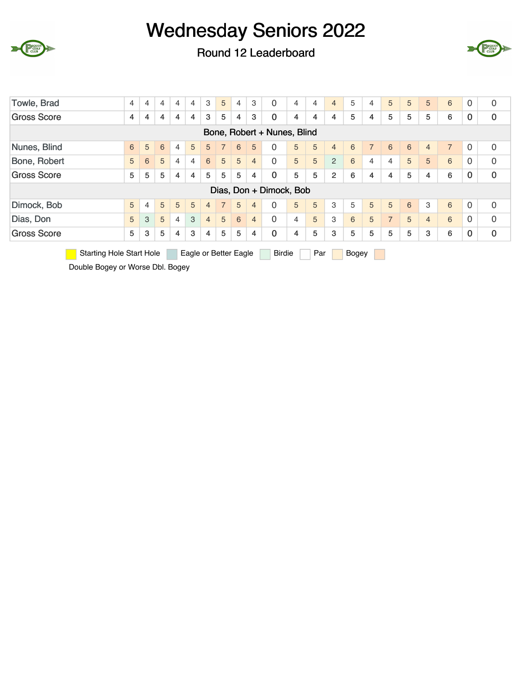



 $\Gamma$  CLUB

Round 12 Leaderboard

| Towle, Brad                                                                                                                                                                                                                                                                                                                                                                                    | $\overline{4}$ | 4 | 4 | 4              | 4 | 3              | 5              | 4                     | 3              | $\Omega$                    | 4 | 4   | $\overline{4}$ | 5     | 4        | 5              | 5 | 5              | 6 | 0 | $\mathbf 0$ |
|------------------------------------------------------------------------------------------------------------------------------------------------------------------------------------------------------------------------------------------------------------------------------------------------------------------------------------------------------------------------------------------------|----------------|---|---|----------------|---|----------------|----------------|-----------------------|----------------|-----------------------------|---|-----|----------------|-------|----------|----------------|---|----------------|---|---|-------------|
| <b>Gross Score</b>                                                                                                                                                                                                                                                                                                                                                                             | 4              | 4 | 4 | 4              | 4 | 3              | 5              | 4                     | 3              | $\mathbf 0$                 | 4 | 4   | 4              | 5     | 4        | 5              | 5 | 5              | 6 | 0 | $\pmb{0}$   |
|                                                                                                                                                                                                                                                                                                                                                                                                |                |   |   |                |   |                |                |                       |                | Bone, Robert + Nunes, Blind |   |     |                |       |          |                |   |                |   |   |             |
| $\boldsymbol{0}$<br>Nunes, Blind<br>5<br>5<br>5<br>$\overline{7}$<br>$\overline{7}$<br>6<br>$\Omega$<br>5<br>6<br>6<br>6<br>$\Omega$<br>6<br>5<br>7 <sup>1</sup><br>5<br>$\overline{4}$<br>6<br>$\overline{4}$<br>$\overline{4}$<br>$\Omega$<br>5<br>5<br>$\overline{2}$<br>5<br>0<br>5<br>5<br>5<br>$\Omega$<br>5<br>6<br>$\overline{4}$<br>6<br>$\overline{4}$<br>6<br>5<br>6<br>4<br>4<br>4 |                |   |   |                |   |                |                |                       |                |                             |   |     |                |       |          |                |   |                |   |   |             |
| Bone, Robert<br>5<br>$\mathbf 0$<br>Gross Score<br>5<br>5<br>5<br>5<br>5<br>$\mathbf 0$<br>5<br>5<br>$\overline{4}$<br>$\overline{2}$<br>6<br>5<br>4<br>$\overline{4}$<br>6<br>4<br>4<br>4                                                                                                                                                                                                     |                |   |   |                |   |                |                |                       |                |                             |   |     |                |       |          |                |   |                |   |   |             |
| Dias, Don + Dimock, Bob                                                                                                                                                                                                                                                                                                                                                                        |                |   |   |                |   |                |                |                       |                |                             |   |     |                |       | $\bf{0}$ |                |   |                |   |   |             |
|                                                                                                                                                                                                                                                                                                                                                                                                |                |   |   |                |   |                |                |                       |                |                             |   |     |                |       |          |                |   |                |   |   |             |
| Dimock, Bob                                                                                                                                                                                                                                                                                                                                                                                    | 5              | 4 | 5 | 5              | 5 | $\overline{4}$ | $\overline{7}$ | 5                     | $\overline{4}$ | 0                           | 5 | 5   | 3              | 5     | 5        | 5              | 6 | 3              | 6 | 0 | 0           |
| Dias, Don                                                                                                                                                                                                                                                                                                                                                                                      | 5              | 3 | 5 | $\overline{4}$ | 3 | $\overline{4}$ | 5              | 6                     | $\overline{4}$ | $\Omega$                    | 4 | 5   | 3              | 6     | 5        | $\overline{7}$ | 5 | $\overline{4}$ | 6 | 0 | 0           |
| <b>Gross Score</b>                                                                                                                                                                                                                                                                                                                                                                             | 5              | 3 | 5 | $\overline{4}$ | 3 | 4              | 5              | 5                     | $\overline{4}$ | $\mathbf 0$                 | 4 | 5   | 3              | 5     | 5        | 5              | 5 | 3              | 6 | 0 | $\bf{0}$    |
| <b>Starting Hole Start Hole</b>                                                                                                                                                                                                                                                                                                                                                                |                |   |   |                |   |                |                | Eagle or Better Eagle |                | <b>Birdie</b>               |   | Par |                | Bogey |          |                |   |                |   |   |             |
| Double Bogey or Worse Dbl. Bogey                                                                                                                                                                                                                                                                                                                                                               |                |   |   |                |   |                |                |                       |                |                             |   |     |                |       |          |                |   |                |   |   |             |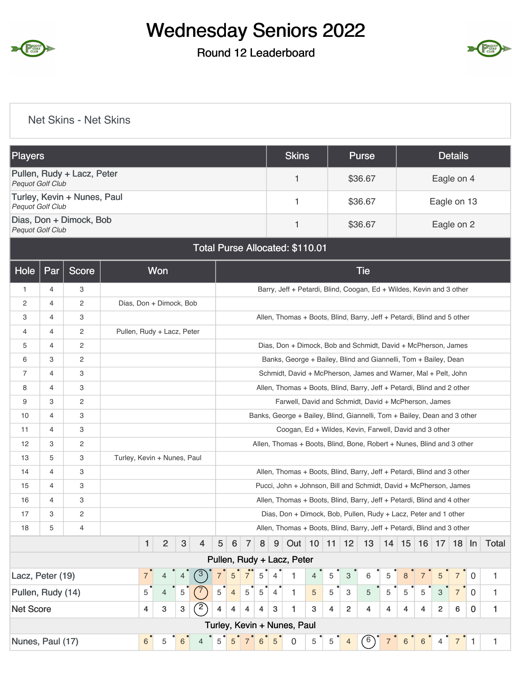

### Round 12 Leaderboard



#### Net Skins - Net Skins

| Players                 |     |                             |                         | <b>Skins</b>                           | <b>Purse</b> | <b>Details</b>                                                       |
|-------------------------|-----|-----------------------------|-------------------------|----------------------------------------|--------------|----------------------------------------------------------------------|
| <b>Pequot Golf Club</b> |     | Pullen, Rudy + Lacz, Peter  |                         |                                        | \$36.67      | Eagle on 4                                                           |
| <b>Pequot Golf Club</b> |     | Turley, Kevin + Nunes, Paul |                         | 1                                      | \$36.67      | Eagle on 13                                                          |
| <b>Pequot Golf Club</b> |     | Dias, Don + Dimock, Bob     |                         | 1                                      | \$36.67      | Eagle on 2                                                           |
|                         |     |                             |                         | <b>Total Purse Allocated: \$110.01</b> |              |                                                                      |
| Hole                    | Par | Score                       | Won                     |                                        | <b>Tie</b>   |                                                                      |
|                         | 4   | 3                           |                         |                                        |              | Barry, Jeff + Petardi, Blind, Coogan, Ed + Wildes, Kevin and 3 other |
| 2                       | 4   | $\overline{2}$              | Dias, Don + Dimock, Bob |                                        |              |                                                                      |
| Q.                      |     | c                           |                         |                                        |              | Allon Thomas + Roots Rlind Rarry, Joff + Potardi, Rlind and 5 other  |

| 3                 | 4              | 3                     |                             |                |                |   |                |             |                |               |                |                | Allen, Thomas + Boots, Blind, Barry, Jeff + Petardi, Blind and 5 other   |   |                |                           |                |   |   |            |                |                |                |       |
|-------------------|----------------|-----------------------|-----------------------------|----------------|----------------|---|----------------|-------------|----------------|---------------|----------------|----------------|--------------------------------------------------------------------------|---|----------------|---------------------------|----------------|---|---|------------|----------------|----------------|----------------|-------|
| 4                 | 4              | 2                     | Pullen, Rudy + Lacz, Peter  |                |                |   |                |             |                |               |                |                |                                                                          |   |                |                           |                |   |   |            |                |                |                |       |
| 5                 | 4              | $\overline{2}$        |                             |                |                |   |                |             |                |               |                |                | Dias, Don + Dimock, Bob and Schmidt, David + McPherson, James            |   |                |                           |                |   |   |            |                |                |                |       |
| 6                 | 3              | $\overline{c}$        |                             |                |                |   |                |             |                |               |                |                | Banks, George + Bailey, Blind and Giannelli, Tom + Bailey, Dean          |   |                |                           |                |   |   |            |                |                |                |       |
| 7                 | 4              | 3                     |                             |                |                |   |                |             |                |               |                |                | Schmidt, David + McPherson, James and Warner, Mal + Pelt, John           |   |                |                           |                |   |   |            |                |                |                |       |
| 8                 | 4              | 3                     |                             |                |                |   |                |             |                |               |                |                | Allen, Thomas + Boots, Blind, Barry, Jeff + Petardi, Blind and 2 other   |   |                |                           |                |   |   |            |                |                |                |       |
| 9                 | 3              | $\overline{2}$        |                             |                |                |   |                |             |                |               |                |                | Farwell, David and Schmidt, David + McPherson, James                     |   |                |                           |                |   |   |            |                |                |                |       |
| 10                | $\overline{4}$ | 3                     |                             |                |                |   |                |             |                |               |                |                | Banks, George + Bailey, Blind, Giannelli, Tom + Bailey, Dean and 3 other |   |                |                           |                |   |   |            |                |                |                |       |
| 11                | $\overline{4}$ | 3                     |                             |                |                |   |                |             |                |               |                |                | Coogan, Ed + Wildes, Kevin, Farwell, David and 3 other                   |   |                |                           |                |   |   |            |                |                |                |       |
| 12                | 3              | $\mathbf{2}^{\prime}$ |                             |                |                |   |                |             |                |               |                |                | Allen, Thomas + Boots, Blind, Bone, Robert + Nunes, Blind and 3 other    |   |                |                           |                |   |   |            |                |                |                |       |
| 13                | 5              | 3                     | Turley, Kevin + Nunes, Paul |                |                |   |                |             |                |               |                |                |                                                                          |   |                |                           |                |   |   |            |                |                |                |       |
| 14                | 4              | 3                     |                             |                |                |   |                |             |                |               |                |                | Allen, Thomas + Boots, Blind, Barry, Jeff + Petardi, Blind and 3 other   |   |                |                           |                |   |   |            |                |                |                |       |
| 15                | 4              | 3                     |                             |                |                |   |                |             |                |               |                |                | Pucci, John + Johnson, Bill and Schmidt, David + McPherson, James        |   |                |                           |                |   |   |            |                |                |                |       |
| 16                | 4              | 3                     |                             |                |                |   |                |             |                |               |                |                | Allen, Thomas + Boots, Blind, Barry, Jeff + Petardi, Blind and 4 other   |   |                |                           |                |   |   |            |                |                |                |       |
| 17                | 3              | $\overline{2}$        |                             |                |                |   |                |             |                |               |                |                | Dias, Don + Dimock, Bob, Pullen, Rudy + Lacz, Peter and 1 other          |   |                |                           |                |   |   |            |                |                |                |       |
| 18                | 5              | 4                     |                             |                |                |   |                |             |                |               |                |                | Allen, Thomas + Boots, Blind, Barry, Jeff + Petardi, Blind and 3 other   |   |                |                           |                |   |   |            |                |                |                |       |
|                   |                |                       |                             | $\mathbf{1}$   | $\overline{2}$ | 3 | 4              | 5           | 6              | 7             | 8              | 9              | Out 10 11                                                                |   |                | 12                        | 13             |   |   | $14$ 15 16 |                | $17$ 18 $\ln$  |                | Total |
|                   |                |                       |                             |                |                |   |                |             |                |               |                |                | Pullen, Rudy + Lacz, Peter                                               |   |                |                           |                |   |   |            |                |                |                |       |
| Lacz, Peter (19)  |                |                       |                             | $\overline{7}$ | 4              |   | 3              |             | 5              | $7^{\circ}$   | 5              | $\overline{4}$ | 1                                                                        | 4 | 5              | $\ensuremath{\mathsf{3}}$ | 6              | 5 | 8 |            | 5              | $7^{\circ}$    | $\overline{0}$ | 1     |
| Pullen, Rudy (14) |                |                       |                             | 5              | $\overline{4}$ | 5 |                | $5^{\circ}$ | $\overline{4}$ | $5^{\degree}$ | $\overline{5}$ | $\overline{4}$ | 1                                                                        | 5 | 5              | 3                         | 5              | 5 | 5 | 5          | 3              | $\overline{7}$ | $\overline{0}$ | 1     |
| <b>Net Score</b>  |                |                       |                             | 4              | 3              | 3 | $\overline{2}$ | 4           | 4              | 4             | 4              | 3              | 1                                                                        | 3 | $\overline{4}$ | $\overline{2}$            | $\overline{4}$ | 4 | 4 | 4          | $\overline{2}$ | 6              | $\bf{0}$       | 1     |
|                   |                |                       |                             |                |                |   |                |             |                |               |                |                | Turley, Kevin + Nunes, Paul                                              |   |                |                           |                |   |   |            |                |                |                |       |
| Nunes, Paul (17)  |                |                       |                             | 6              | 5              | 6 | 4              | 5           |                |               | 6              | 5              | $\mathbf 0$                                                              | 5 | 5              | $\overline{4}$            | 6              |   |   | 6          |                |                |                |       |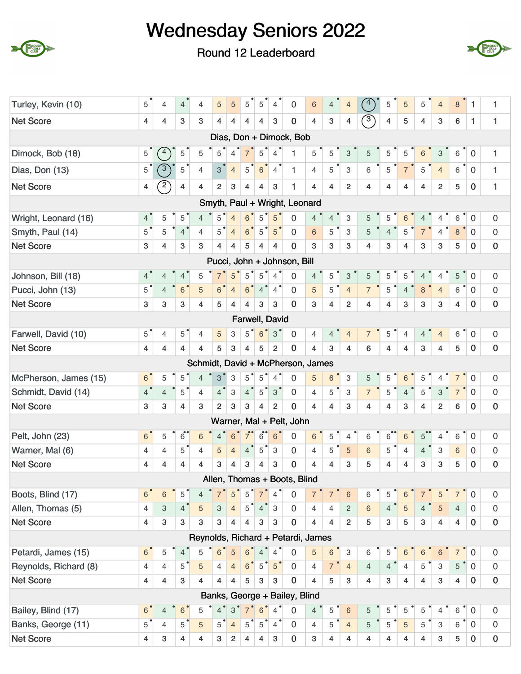





| Turley, Kevin (10)    | 5              | 4                       | $\overline{4}$  | $\overline{4}$ | $\sqrt{5}$     | 5                | 5              | 5              | $\overline{4}$  | $\mathbf 0$                        | 6                       | 4              | $\overline{4}$            | 4              | 5              | 5              | 5              | $\overline{4}$            | $\bf 8$        | 1              | 1                   |
|-----------------------|----------------|-------------------------|-----------------|----------------|----------------|------------------|----------------|----------------|-----------------|------------------------------------|-------------------------|----------------|---------------------------|----------------|----------------|----------------|----------------|---------------------------|----------------|----------------|---------------------|
| <b>Net Score</b>      | 4              | 4                       | 3               | 3              | $\overline{4}$ | $\overline{4}$   | 4              | 4              | 3               | $\mathbf 0$                        | 4                       | 3              | $\overline{4}$            | $\sqrt{3}$     | $\overline{4}$ | 5              | 4              | 3                         | 6              | 1              | 1                   |
|                       |                |                         |                 |                |                |                  |                |                |                 | Dias, Don + Dimock, Bob            |                         |                |                           |                |                |                |                |                           |                |                |                     |
| Dimock, Bob (18)      | 5              | 4                       | 5               | 5              | 5              | $\overline{4}$   |                | 5              | $\overline{4}$  | 1                                  | 5                       | 5              | 3                         | 5              | 5              | 5              | 6              | 3                         | 6              | $\mathbf 0$    | 1                   |
| Dias, Don (13)        | 5              | $\sqrt{3}$              | 5               | $\overline{4}$ | 3 <sup>1</sup> | $\overline{4}$   | $\overline{5}$ | $6\phantom{1}$ | $\overline{4}$  | 1                                  | $\overline{4}$          | 5              | 3                         | 6              | 5              | $\overline{7}$ | 5              | $\overline{4}$            | 6              | $\mathbf 0$    | $\mathbf{1}$        |
| <b>Net Score</b>      | 4              | $\overline{2}$          | $\overline{4}$  | 4              | $\overline{2}$ | $\boldsymbol{3}$ | $\overline{4}$ | 4              | 3               | 1                                  | 4                       | $\overline{4}$ | $\overline{2}$            | 4              | 4              | 4              | 4              | $\overline{2}$            | 5              | $\mathbf 0$    | 1                   |
|                       |                |                         |                 |                |                |                  |                |                |                 | Smyth, Paul + Wright, Leonard      |                         |                |                           |                |                |                |                |                           |                |                |                     |
| Wright, Leonard (16)  | 4 <sup>°</sup> | 5                       | 5               | $\overline{4}$ | 5              | $\overline{4}$   | 6              | 5              | 5               | $\overline{0}$                     | $\overline{4}$          | $\overline{4}$ | 3                         | 5              | 5              | 6              | 4              | 4                         | 6              | $\mathbf 0$    | 0                   |
| Smyth, Paul (14)      | $5^{\degree}$  | 5                       | $\overline{4}$  | $\overline{4}$ | $5^{\degree}$  | $\overline{4}$   | 6              | 5              | 5               | 0                                  | 6                       | 5              | 3                         | 5              | $\overline{4}$ | 5              | $\overline{7}$ | $\overline{4}$            | $\,8\,$        | $\mathbf 0$    | $\mathsf{O}\xspace$ |
| <b>Net Score</b>      | 3              | 4                       | 3               | 3              | 4              | 4                | 5              | 4              | 4               | $\mathbf 0$                        | 3                       | 3              | 3                         | 4              | 3              | 4              | 3              | 3                         | 5              | $\mathbf{0}$   | $\mathbf 0$         |
|                       |                |                         |                 |                |                |                  |                |                |                 | Pucci, John + Johnson, Bill        |                         |                |                           |                |                |                |                |                           |                |                |                     |
| Johnson, Bill (18)    | 4              | 4                       | $\overline{4}$  | 5              | $\overline{7}$ | 5                | 5              | 5              | $\overline{4}$  | 0                                  | $\overline{4}$          | 5              | $\ensuremath{\mathsf{3}}$ | 5              | 5              | 5              | 4              | 4                         | 5              | $\mathbf 0$    | 0                   |
| Pucci, John (13)      | $5^{\degree}$  | $\overline{4}$          | $6\phantom{1}6$ | $\overline{5}$ | 6 <sup>o</sup> | $\overline{4}$   | $6\phantom{1}$ | $4^{\degree}$  | $\overline{4}$  | $\mathbf 0$                        | 5                       | 5              | $\overline{4}$            | $\overline{7}$ | 5              | $\overline{4}$ | $\,8\,$        | $\overline{4}$            | 6              | $\mathbf 0$    | $\mathsf{O}\xspace$ |
| <b>Net Score</b>      | 3              | 3                       | 3               | 4              | 5              | $\overline{4}$   | 4              | 3              | 3               | $\mathbf 0$                        | 3                       | $\overline{4}$ | $\overline{2}$            | 4              | 4              | 3              | 3              | 3                         | 4              | $\mathbf 0$    | $\pmb{0}$           |
|                       |                |                         |                 |                |                |                  |                |                | Farwell, David  |                                    |                         |                |                           |                |                |                |                |                           |                |                |                     |
| Farwell, David (10)   | $5^{\degree}$  | 4                       | 5               | $\overline{4}$ | 5              | 3                | 5              | 6              | 3               | $\mathbf 0$                        | 4                       | 4              | $\overline{4}$            | $\overline{7}$ | 5              | 4              | 4              | $\overline{4}$            | 6              | $\mathbf 0$    | $\boldsymbol{0}$    |
| <b>Net Score</b>      | 4              | 4                       | 4               | 4              | 5              | $\mathbf{3}$     | $\overline{4}$ | 5              | 2               | $\mathbf 0$                        | $\overline{\mathbf{4}}$ | 3              | 4                         | 6              | 4              | $\overline{4}$ | 3              | $\overline{4}$            | 5              | $\mathbf{0}$   | $\pmb{0}$           |
|                       |                |                         |                 |                |                |                  |                |                |                 | Schmidt, David + McPherson, James  |                         |                |                           |                |                |                |                |                           |                |                |                     |
| McPherson, James (15) | 6 <sup>1</sup> | 5                       | 5               | $\overline{4}$ | 3              | 3                | 5              | 5              | $\overline{4}$  | $\Omega$                           | 5                       | 6              | 3                         | 5              | 5              | 6              | 5              | 4                         | 7              | 0              | 0                   |
| Schmidt, David (14)   | $4^{\degree}$  | $\overline{4}$          | 5               | $\overline{4}$ | $4^{\circ}$    | $\,3$            | $4^{\degree}$  | $\,$ 5 $\,$    | $3^{\circ}$     | $\mathbf 0$                        | $\overline{4}$          | 5              | 3                         | $\overline{7}$ | 5              | $\overline{4}$ | 5              | 3                         | $\overline{7}$ | $\mathbf 0$    | $\mathsf{O}\xspace$ |
| <b>Net Score</b>      | 3              | 3                       | 4               | 3              | $\overline{2}$ | 3                | 3              | 4              | $\overline{2}$  | $\mathbf 0$                        | 4                       | 4              | 3                         | 4              | 4              | 3              | 4              | $\overline{2}$            | 6              | $\mathbf 0$    | $\pmb{0}$           |
|                       |                |                         |                 |                |                |                  |                |                |                 | Warner, Mal + Pelt, John           |                         |                |                           |                |                |                |                |                           |                |                |                     |
| Pelt, John (23)       | 6              | 5                       | $\overline{6}$  | 6              | $\overline{4}$ | 6                | 7              | $\overline{6}$ | 6               | $\mathbf 0$                        | 6                       | 5              | 4                         | 6              | $\overline{6}$ | 6              | $5^{\circ}$    | 4                         | 6              | $\mathbf 0$    | $\boldsymbol{0}$    |
| Warner, Mal (6)       | 4              | $\overline{4}$          | 5               | $\overline{4}$ | 5              | $\overline{4}$   | $\overline{4}$ | 5              | 3               | $\mathbf 0$                        | 4                       | 5              | 5                         | 6              | 5              | $\overline{4}$ | 4              | 3                         | 6              | 0              | $\boldsymbol{0}$    |
| <b>Net Score</b>      | 4              | 4                       | 4               | 4              | 3              | 4                | 3              | 4              | 3               | $\mathbf 0$                        | 4                       | 4              | 3                         | 5              | 4              | 4              | 3              | 3                         | 5              | $\mathbf 0$    | $\pmb{0}$           |
|                       |                |                         |                 |                |                |                  |                |                |                 | Allen, Thomas + Boots, Blind       |                         |                |                           |                |                |                |                |                           |                |                |                     |
| Boots, Blind (17)     | 6 <sup>1</sup> | 6                       | 5               | $\overline{4}$ |                | 5                | 5              |                | $\overline{4}$  | $\mathbf 0$                        | $7^{\degree}$           | $\overline{7}$ | $\,6\,$                   | 6              | 5              | 6              | $\overline{7}$ | 5                         | $\overline{7}$ | $\mathbf 0$    | $\mathsf{O}\xspace$ |
| Allen, Thomas (5)     | 4              | 3                       | 4 <sup>1</sup>  | $\sqrt{5}$     | 3              | $\overline{4}$   | 5              | $\overline{4}$ | 3               | $\mathbf 0$                        | $\overline{4}$          | 4              | $\mathbf{2}$              | 6              | $\overline{4}$ | 5              | $\overline{4}$ | $\overline{5}$            | $\overline{4}$ | $\mathbf 0$    | $\mathsf{O}\xspace$ |
| <b>Net Score</b>      | 4              | 3                       | 3               | 3              | 3              | 4                | 4              | 3              | 3               | $\pmb{0}$                          | 4                       | $\overline{4}$ | $\overline{2}$            | 5              | $\mathbf{3}$   | $\overline{5}$ | $\mathbf{3}$   | $\overline{4}$            | $\overline{4}$ | $\mathbf 0$    | $\pmb{0}$           |
|                       |                |                         |                 |                |                |                  |                |                |                 | Reynolds, Richard + Petardi, James |                         |                |                           |                |                |                |                |                           |                |                |                     |
| Petardi, James (15)   | 6 <sup>°</sup> | 5                       | $\overline{4}$  | 5              | $6\phantom{1}$ | 5                | $6^{\degree}$  | $4^{\degree}$  | $\overline{4}$  | 0                                  | 5                       | $\,6\,$        | $\ensuremath{\mathsf{3}}$ | 6              | 5              | 6              | $\,6\,$        | $\,6\,$                   | $\overline{7}$ | $\mathbf 0$    | $\mathsf{O}\xspace$ |
| Reynolds, Richard (8) | $\overline{4}$ | $\overline{4}$          | $5^{\circ}$     | 5              | $\overline{4}$ | $\overline{4}$   | 6              | 5              | $5\overline{)}$ | $\mathbf 0$                        | $\overline{4}$          | $\overline{7}$ | $\overline{4}$            | $\overline{4}$ | $\overline{4}$ | $\overline{4}$ | 5              | $\ensuremath{\mathsf{3}}$ | 5              | $\overline{0}$ | $\mathsf{O}\xspace$ |
| <b>Net Score</b>      | 4              | $\overline{\mathbf{4}}$ | 3               | 4              | $\overline{4}$ | 4                | 5              | 3              | 3               | $\mathbf 0$                        | $\overline{4}$          | 5              | 3                         | 4              | 3              | $\overline{4}$ | $\overline{4}$ | $\mathbf{3}$              | $\overline{4}$ | $\mathbf 0$    | $\pmb{0}$           |
|                       |                |                         |                 |                |                |                  |                |                |                 | Banks, George + Bailey, Blind      |                         |                |                           |                |                |                |                |                           |                |                |                     |
| Bailey, Blind (17)    | 6 <sup>°</sup> | $\overline{4}$          | $\,6\,$         | 5              | 4 <sup>°</sup> | $3^{\circ}$      | $7^{\degree}$  | $\,6\,$        | $\overline{4}$  | $\mathbf 0$                        | $\overline{4}$          | 5              | $\,6\,$                   | 5              | 5              | 5              | 5              | $\overline{4}$            | 6              | $\mathbf 0$    | $\boldsymbol{0}$    |
| Banks, George (11)    | $5^{\degree}$  | $\overline{4}$          | 5               | $\overline{5}$ | 5              | $\overline{4}$   | 5              | $5^{\circ}$    | $\overline{4}$  | $\mathbf 0$                        | $\overline{4}$          | 5              | $\overline{4}$            | 5              | 5              | 5              | 5              | $\ensuremath{\mathsf{3}}$ | 6              | $\overline{0}$ | $\boldsymbol{0}$    |
| <b>Net Score</b>      | 4              | 3                       | $\overline{4}$  | 4              | 3              | $\overline{2}$   | 4              | 4              | 3               | $\pmb{0}$                          | 3                       | 4              | 4                         | 4              | 4              | 4              | 4              | 3                         | 5              | 0              | $\pmb{0}$           |